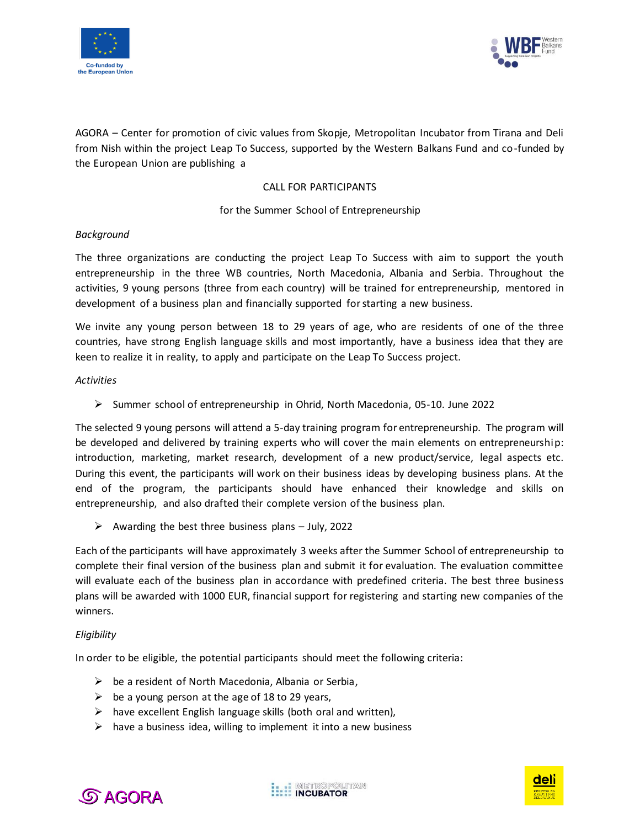



AGORA – Center for promotion of civic values from Skopje, Metropolitan Incubator from Tirana and Deli from Nish within the project Leap To Success, supported by the Western Balkans Fund and co-funded by the European Union are publishing a

# CALL FOR PARTICIPANTS

## for the Summer School of Entrepreneurship

#### *Background*

The three organizations are conducting the project Leap To Success with aim to support the youth entrepreneurship in the three WB countries, North Macedonia, Albania and Serbia. Throughout the activities, 9 young persons (three from each country) will be trained for entrepreneurship, mentored in development of a business plan and financially supported for starting a new business.

We invite any young person between 18 to 29 years of age, who are residents of one of the three countries, have strong English language skills and most importantly, have a business idea that they are keen to realize it in reality, to apply and participate on the Leap To Success project.

#### *Activities*

➢ Summer school of entrepreneurship in Ohrid, North Macedonia, 05-10. June 2022

The selected 9 young persons will attend a 5-day training program for entrepreneurship. The program will be developed and delivered by training experts who will cover the main elements on entrepreneurship: introduction, marketing, market research, development of a new product/service, legal aspects etc. During this event, the participants will work on their business ideas by developing business plans. At the end of the program, the participants should have enhanced their knowledge and skills on entrepreneurship, and also drafted their complete version of the business plan.

 $\triangleright$  Awarding the best three business plans – July, 2022

Each of the participants will have approximately 3 weeks after the Summer School of entrepreneurship to complete their final version of the business plan and submit it for evaluation. The evaluation committee will evaluate each of the business plan in accordance with predefined criteria. The best three business plans will be awarded with 1000 EUR, financial support for registering and starting new companies of the winners.

## *Eligibility*

In order to be eligible, the potential participants should meet the following criteria:

- $\triangleright$  be a resident of North Macedonia, Albania or Serbia,
- $\triangleright$  be a young person at the age of 18 to 29 years,
- $\triangleright$  have excellent English language skills (both oral and written),
- $\triangleright$  have a business idea, willing to implement it into a new business